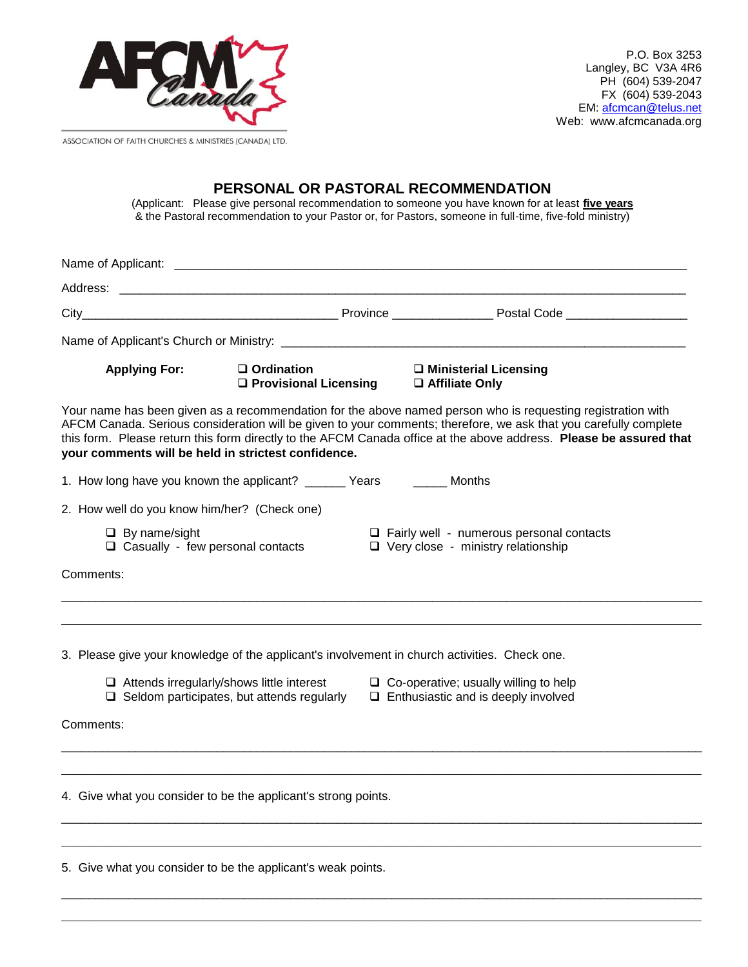

P.O. Box 3253 Langley, BC V3A 4R6 PH (604) 539-2047 FX (604) 539-2043 EM: [afcmcan@telus.net](mailto:afcmcan@telus.net) Web: www.afcmcanada.org

ASSOCIATION OF FAITH CHURCHES & MINISTRIES (CANADA) LTD.

## **PERSONAL OR PASTORAL RECOMMENDATION**

(Applicant: Please give personal recommendation to someone you have known for at least **five years** & the Pastoral recommendation to your Pastor or, for Pastors, someone in full-time, five-fold ministry)

| <b>Applying For:</b>                                                   | $\Box$ Ordination<br>□ Provisional Licensing                                                          |  | $\Box$ Ministerial Licensing<br>□ Affiliate Only                                                                                                                                                                                                                                                                                                      |  |  |  |  |
|------------------------------------------------------------------------|-------------------------------------------------------------------------------------------------------|--|-------------------------------------------------------------------------------------------------------------------------------------------------------------------------------------------------------------------------------------------------------------------------------------------------------------------------------------------------------|--|--|--|--|
| your comments will be held in strictest confidence.                    |                                                                                                       |  | Your name has been given as a recommendation for the above named person who is requesting registration with<br>AFCM Canada. Serious consideration will be given to your comments; therefore, we ask that you carefully complete<br>this form. Please return this form directly to the AFCM Canada office at the above address. Please be assured that |  |  |  |  |
| 1. How long have you known the applicant? _______ Years _______ Months |                                                                                                       |  |                                                                                                                                                                                                                                                                                                                                                       |  |  |  |  |
| 2. How well do you know him/her? (Check one)                           |                                                                                                       |  |                                                                                                                                                                                                                                                                                                                                                       |  |  |  |  |
| $\Box$ By name/sight<br>$\Box$ Casually - few personal contacts        |                                                                                                       |  | $\Box$ Fairly well - numerous personal contacts<br>□ Very close - ministry relationship                                                                                                                                                                                                                                                               |  |  |  |  |
| Comments:                                                              |                                                                                                       |  |                                                                                                                                                                                                                                                                                                                                                       |  |  |  |  |
|                                                                        | $\Box$ Attends irregularly/shows little interest<br>$\Box$ Seldom participates, but attends regularly |  | 3. Please give your knowledge of the applicant's involvement in church activities. Check one.<br>$\Box$ Co-operative; usually willing to help<br>$\Box$ Enthusiastic and is deeply involved                                                                                                                                                           |  |  |  |  |
| Comments:                                                              |                                                                                                       |  |                                                                                                                                                                                                                                                                                                                                                       |  |  |  |  |
| 4. Give what you consider to be the applicant's strong points.         |                                                                                                       |  |                                                                                                                                                                                                                                                                                                                                                       |  |  |  |  |
|                                                                        |                                                                                                       |  |                                                                                                                                                                                                                                                                                                                                                       |  |  |  |  |
| 5. Give what you consider to be the applicant's weak points.           |                                                                                                       |  |                                                                                                                                                                                                                                                                                                                                                       |  |  |  |  |

 $\_$  ,  $\_$  ,  $\_$  ,  $\_$  ,  $\_$  ,  $\_$  ,  $\_$  ,  $\_$  ,  $\_$  ,  $\_$  ,  $\_$  ,  $\_$  ,  $\_$  ,  $\_$  ,  $\_$  ,  $\_$  ,  $\_$  ,  $\_$  ,  $\_$  ,  $\_$  ,  $\_$  ,  $\_$  ,  $\_$  ,  $\_$  ,  $\_$  ,  $\_$  ,  $\_$  ,  $\_$  ,  $\_$  ,  $\_$  ,  $\_$  ,  $\_$  ,  $\_$  ,  $\_$  ,  $\_$  ,  $\_$  ,  $\_$  ,  $\_$  ,  $\_$  ,  $\_$  ,  $\_$  ,  $\_$  ,  $\_$  ,  $\_$  ,  $\_$  ,  $\_$  ,  $\_$  ,  $\_$  ,  $\_$  ,  $\_$  ,  $\_$  ,  $\_$  ,  $\_$  ,  $\_$  ,  $\_$  ,  $\_$  ,  $\_$  ,  $\_$  ,  $\_$  ,  $\_$  ,  $\_$  ,  $\_$  ,  $\_$  ,  $\_$  ,  $\_$  ,  $\_$  ,  $\_$  ,  $\_$  ,  $\_$  ,  $\_$  ,  $\_$  ,  $\_$  ,  $\_$  ,  $\_$  ,